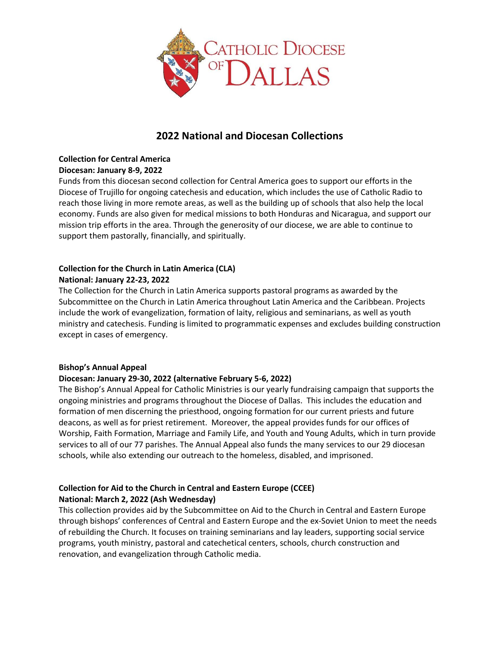

# 2022 National and Diocesan Collections

#### Collection for Central America Diocesan: January 8-9, 2022

Funds from this diocesan second collection for Central America goes to support our efforts in the Diocese of Trujillo for ongoing catechesis and education, which includes the use of Catholic Radio to reach those living in more remote areas, as well as the building up of schools that also help the local economy. Funds are also given for medical missions to both Honduras and Nicaragua, and support our mission trip efforts in the area. Through the generosity of our diocese, we are able to continue to support them pastorally, financially, and spiritually.

### Collection for the Church in Latin America (CLA) National: January 22-23, 2022

The Collection for the Church in Latin America supports pastoral programs as awarded by the Subcommittee on the Church in Latin America throughout Latin America and the Caribbean. Projects include the work of evangelization, formation of laity, religious and seminarians, as well as youth ministry and catechesis. Funding is limited to programmatic expenses and excludes building construction except in cases of emergency.

# Bishop's Annual Appeal

# Diocesan: January 29-30, 2022 (alternative February 5-6, 2022)

The Bishop's Annual Appeal for Catholic Ministries is our yearly fundraising campaign that supports the ongoing ministries and programs throughout the Diocese of Dallas. This includes the education and formation of men discerning the priesthood, ongoing formation for our current priests and future deacons, as well as for priest retirement. Moreover, the appeal provides funds for our offices of Worship, Faith Formation, Marriage and Family Life, and Youth and Young Adults, which in turn provide services to all of our 77 parishes. The Annual Appeal also funds the many services to our 29 diocesan schools, while also extending our outreach to the homeless, disabled, and imprisoned.

# Collection for Aid to the Church in Central and Eastern Europe (CCEE) National: March 2, 2022 (Ash Wednesday)

This collection provides aid by the Subcommittee on Aid to the Church in Central and Eastern Europe through bishops' conferences of Central and Eastern Europe and the ex-Soviet Union to meet the needs of rebuilding the Church. It focuses on training seminarians and lay leaders, supporting social service programs, youth ministry, pastoral and catechetical centers, schools, church construction and renovation, and evangelization through Catholic media.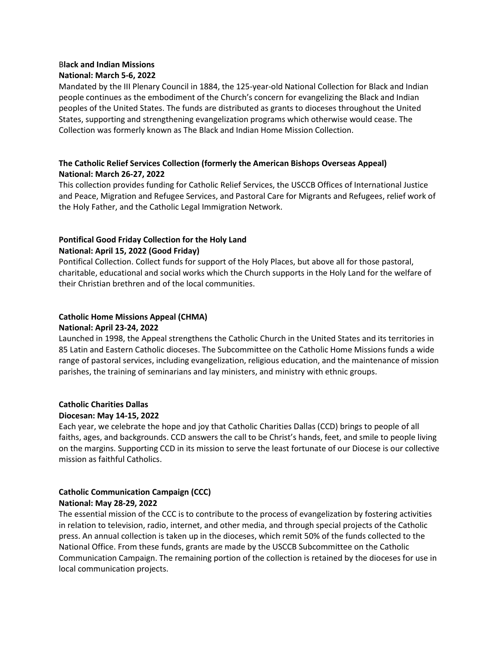#### Black and Indian Missions National: March 5-6, 2022

Mandated by the III Plenary Council in 1884, the 125-year-old National Collection for Black and Indian people continues as the embodiment of the Church's concern for evangelizing the Black and Indian peoples of the United States. The funds are distributed as grants to dioceses throughout the United States, supporting and strengthening evangelization programs which otherwise would cease. The Collection was formerly known as The Black and Indian Home Mission Collection.

# The Catholic Relief Services Collection (formerly the American Bishops Overseas Appeal) National: March 26-27, 2022

This collection provides funding for Catholic Relief Services, the USCCB Offices of International Justice and Peace, Migration and Refugee Services, and Pastoral Care for Migrants and Refugees, relief work of the Holy Father, and the Catholic Legal Immigration Network.

# Pontifical Good Friday Collection for the Holy Land National: April 15, 2022 (Good Friday)

Pontifical Collection. Collect funds for support of the Holy Places, but above all for those pastoral, charitable, educational and social works which the Church supports in the Holy Land for the welfare of their Christian brethren and of the local communities.

# Catholic Home Missions Appeal (CHMA)

# National: April 23-24, 2022

Launched in 1998, the Appeal strengthens the Catholic Church in the United States and its territories in 85 Latin and Eastern Catholic dioceses. The Subcommittee on the Catholic Home Missions funds a wide range of pastoral services, including evangelization, religious education, and the maintenance of mission parishes, the training of seminarians and lay ministers, and ministry with ethnic groups.

# Catholic Charities Dallas

# Diocesan: May 14-15, 2022

Each year, we celebrate the hope and joy that Catholic Charities Dallas (CCD) brings to people of all faiths, ages, and backgrounds. CCD answers the call to be Christ's hands, feet, and smile to people living on the margins. Supporting CCD in its mission to serve the least fortunate of our Diocese is our collective mission as faithful Catholics.

# Catholic Communication Campaign (CCC) National: May 28-29, 2022

The essential mission of the CCC is to contribute to the process of evangelization by fostering activities in relation to television, radio, internet, and other media, and through special projects of the Catholic press. An annual collection is taken up in the dioceses, which remit 50% of the funds collected to the National Office. From these funds, grants are made by the USCCB Subcommittee on the Catholic Communication Campaign. The remaining portion of the collection is retained by the dioceses for use in local communication projects.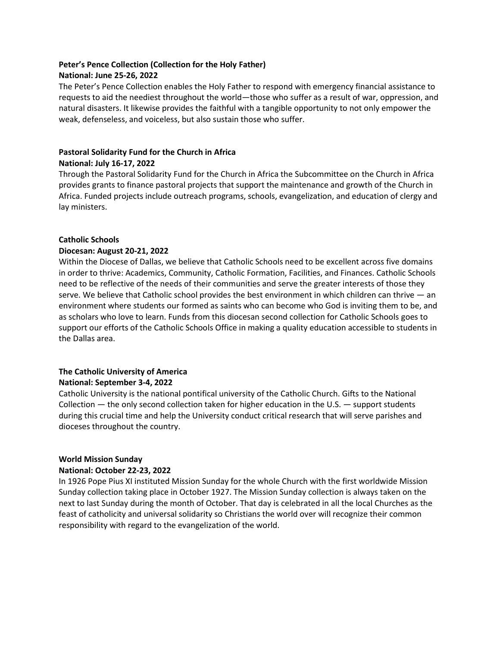# Peter's Pence Collection (Collection for the Holy Father)

#### National: June 25-26, 2022

The Peter's Pence Collection enables the Holy Father to respond with emergency financial assistance to requests to aid the neediest throughout the world—those who suffer as a result of war, oppression, and natural disasters. It likewise provides the faithful with a tangible opportunity to not only empower the weak, defenseless, and voiceless, but also sustain those who suffer.

#### Pastoral Solidarity Fund for the Church in Africa National: July 16-17, 2022

Through the Pastoral Solidarity Fund for the Church in Africa the Subcommittee on the Church in Africa provides grants to finance pastoral projects that support the maintenance and growth of the Church in Africa. Funded projects include outreach programs, schools, evangelization, and education of clergy and lay ministers.

#### Catholic Schools

#### Diocesan: August 20-21, 2022

Within the Diocese of Dallas, we believe that Catholic Schools need to be excellent across five domains in order to thrive: Academics, Community, Catholic Formation, Facilities, and Finances. Catholic Schools need to be reflective of the needs of their communities and serve the greater interests of those they serve. We believe that Catholic school provides the best environment in which children can thrive — an environment where students our formed as saints who can become who God is inviting them to be, and as scholars who love to learn. Funds from this diocesan second collection for Catholic Schools goes to support our efforts of the Catholic Schools Office in making a quality education accessible to students in the Dallas area.

# The Catholic University of America

#### National: September 3-4, 2022

Catholic University is the national pontifical university of the Catholic Church. Gifts to the National Collection — the only second collection taken for higher education in the U.S. — support students during this crucial time and help the University conduct critical research that will serve parishes and dioceses throughout the country.

# World Mission Sunday

#### National: October 22-23, 2022

In 1926 Pope Pius XI instituted Mission Sunday for the whole Church with the first worldwide Mission Sunday collection taking place in October 1927. The Mission Sunday collection is always taken on the next to last Sunday during the month of October. That day is celebrated in all the local Churches as the feast of catholicity and universal solidarity so Christians the world over will recognize their common responsibility with regard to the evangelization of the world.